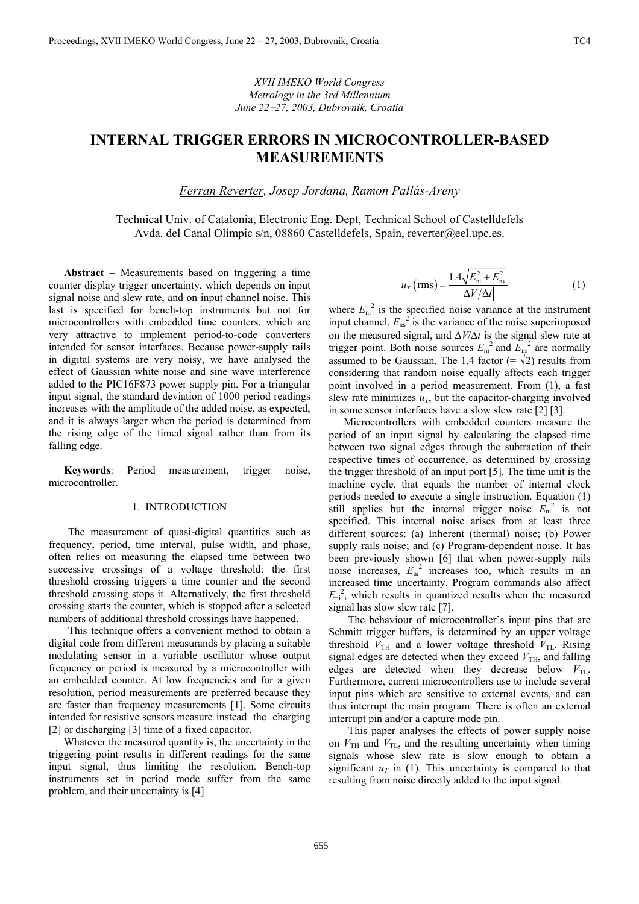*XVII IMEKO World Congress Metrology in the 3rd Millennium June 22*−*27, 2003, Dubrovnik, Croatia*

# **INTERNAL TRIGGER ERRORS IN MICROCONTROLLER-BASED MEASUREMENTS**

*Ferran Reverter, Josep Jordana, Ramon Pallàs-Areny* 

Technical Univ. of Catalonia, Electronic Eng. Dept, Technical School of Castelldefels Avda. del Canal Olímpic s/n, 08860 Castelldefels, Spain, reverter@eel.upc.es.

**Abstract** − Measurements based on triggering a time counter display trigger uncertainty, which depends on input signal noise and slew rate, and on input channel noise. This last is specified for bench-top instruments but not for microcontrollers with embedded time counters, which are very attractive to implement period-to-code converters intended for sensor interfaces. Because power-supply rails in digital systems are very noisy, we have analysed the effect of Gaussian white noise and sine wave interference added to the PIC16F873 power supply pin. For a triangular input signal, the standard deviation of 1000 period readings increases with the amplitude of the added noise, as expected, and it is always larger when the period is determined from the rising edge of the timed signal rather than from its falling edge.

**Keywords**: Period measurement, trigger noise, microcontroller.

#### 1. INTRODUCTION

The measurement of quasi-digital quantities such as frequency, period, time interval, pulse width, and phase, often relies on measuring the elapsed time between two successive crossings of a voltage threshold: the first threshold crossing triggers a time counter and the second threshold crossing stops it. Alternatively, the first threshold crossing starts the counter, which is stopped after a selected numbers of additional threshold crossings have happened.

This technique offers a convenient method to obtain a digital code from different measurands by placing a suitable modulating sensor in a variable oscillator whose output frequency or period is measured by a microcontroller with an embedded counter. At low frequencies and for a given resolution, period measurements are preferred because they are faster than frequency measurements [1]. Some circuits intended for resistive sensors measure instead the charging [2] or discharging [3] time of a fixed capacitor.

Whatever the measured quantity is, the uncertainty in the triggering point results in different readings for the same input signal, thus limiting the resolution. Bench-top instruments set in period mode suffer from the same problem, and their uncertainty is [4]

$$
u_{T} \left( \text{rms} \right) = \frac{1.4 \sqrt{E_{\text{ni}}^{2} + E_{\text{ns}}^{2}}}{\left| \Delta V / \Delta t \right|}
$$
 (1)

where  $E_{ni}^2$  is the specified noise variance at the instrument input channel,  $E_{ns}^2$  is the variance of the noise superimposed on the measured signal, and ∆*V*/∆*t* is the signal slew rate at trigger point. Both noise sources  $E_{ni}^2$  and  $E_{ns}^2$  are normally assumed to be Gaussian. The 1.4 factor (=  $\sqrt{2}$ ) results from considering that random noise equally affects each trigger point involved in a period measurement. From (1), a fast slew rate minimizes  $u_T$ , but the capacitor-charging involved in some sensor interfaces have a slow slew rate [2] [3].

Microcontrollers with embedded counters measure the period of an input signal by calculating the elapsed time between two signal edges through the subtraction of their respective times of occurrence, as determined by crossing the trigger threshold of an input port [5]. The time unit is the machine cycle, that equals the number of internal clock periods needed to execute a single instruction. Equation (1) still applies but the internal trigger noise  $\vec{E}_{\text{ni}}^2$  is not specified. This internal noise arises from at least three different sources: (a) Inherent (thermal) noise; (b) Power supply rails noise; and (c) Program-dependent noise. It has been previously shown [6] that when power-supply rails noise increases,  $E_{ni}^2$  increases too, which results in an increased time uncertainty. Program commands also affect  $E_{\text{ni}}^{2}$ , which results in quantized results when the measured signal has slow slew rate [7].

The behaviour of microcontroller's input pins that are Schmitt trigger buffers, is determined by an upper voltage threshold  $V_{\text{TH}}$  and a lower voltage threshold  $V_{\text{TL}}$ . Rising signal edges are detected when they exceed  $V<sub>TH</sub>$ , and falling edges are detected when they decrease below  $V_{\text{TL}}$ . Furthermore, current microcontrollers use to include several input pins which are sensitive to external events, and can thus interrupt the main program. There is often an external interrupt pin and/or a capture mode pin.

This paper analyses the effects of power supply noise on  $V_{\text{TH}}$  and  $V_{\text{TL}}$ , and the resulting uncertainty when timing signals whose slew rate is slow enough to obtain a significant  $u_T$  in (1). This uncertainty is compared to that resulting from noise directly added to the input signal.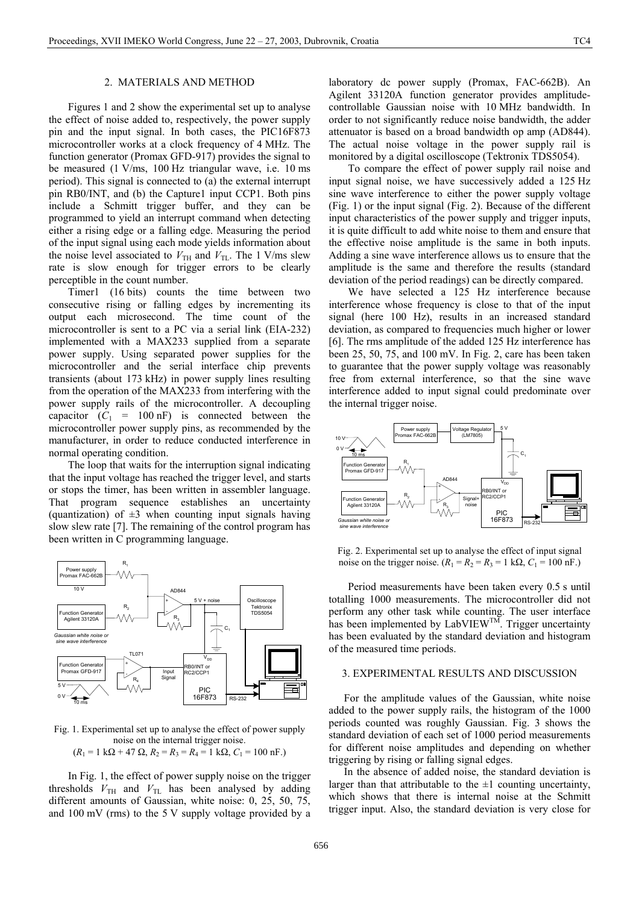#### 2. MATERIALS AND METHOD

Figures 1 and 2 show the experimental set up to analyse the effect of noise added to, respectively, the power supply pin and the input signal. In both cases, the PIC16F873 microcontroller works at a clock frequency of 4 MHz. The function generator (Promax GFD-917) provides the signal to be measured (1 V/ms, 100 Hz triangular wave, i.e. 10 ms period). This signal is connected to (a) the external interrupt pin RB0/INT, and (b) the Capture1 input CCP1. Both pins include a Schmitt trigger buffer, and they can be programmed to yield an interrupt command when detecting either a rising edge or a falling edge. Measuring the period of the input signal using each mode yields information about the noise level associated to  $V_{\text{TH}}$  and  $V_{\text{TL}}$ . The 1 V/ms slew rate is slow enough for trigger errors to be clearly perceptible in the count number.

Timer1 (16 bits) counts the time between two consecutive rising or falling edges by incrementing its output each microsecond. The time count of the microcontroller is sent to a PC via a serial link (EIA-232) implemented with a MAX233 supplied from a separate power supply. Using separated power supplies for the microcontroller and the serial interface chip prevents transients (about 173 kHz) in power supply lines resulting from the operation of the MAX233 from interfering with the power supply rails of the microcontroller. A decoupling capacitor  $(C_1 = 100 \text{ nF})$  is connected between the microcontroller power supply pins, as recommended by the manufacturer, in order to reduce conducted interference in normal operating condition.

The loop that waits for the interruption signal indicating that the input voltage has reached the trigger level, and starts or stops the timer, has been written in assembler language. That program sequence establishes an uncertainty (quantization) of  $\pm 3$  when counting input signals having slow slew rate [7]. The remaining of the control program has been written in C programming language.



Fig. 1. Experimental set up to analyse the effect of power supply noise on the internal trigger noise.

$$
(R_1 = 1 \text{ k}\Omega + 47 \Omega, R_2 = R_3 = R_4 = 1 \text{ k}\Omega, C_1 = 100 \text{ nF}.)
$$

In Fig. 1, the effect of power supply noise on the trigger thresholds  $V_{TH}$  and  $V_{TL}$  has been analysed by adding different amounts of Gaussian, white noise: 0, 25, 50, 75, and 100 mV (rms) to the 5 V supply voltage provided by a laboratory dc power supply (Promax, FAC-662B). An Agilent 33120A function generator provides amplitudecontrollable Gaussian noise with 10 MHz bandwidth. In order to not significantly reduce noise bandwidth, the adder attenuator is based on a broad bandwidth op amp (AD844). The actual noise voltage in the power supply rail is monitored by a digital oscilloscope (Tektronix TDS5054).

To compare the effect of power supply rail noise and input signal noise, we have successively added a 125 Hz sine wave interference to either the power supply voltage (Fig. 1) or the input signal (Fig. 2). Because of the different input characteristics of the power supply and trigger inputs, it is quite difficult to add white noise to them and ensure that the effective noise amplitude is the same in both inputs. Adding a sine wave interference allows us to ensure that the amplitude is the same and therefore the results (standard deviation of the period readings) can be directly compared.

We have selected a 125 Hz interference because interference whose frequency is close to that of the input signal (here 100 Hz), results in an increased standard deviation, as compared to frequencies much higher or lower [6]. The rms amplitude of the added 125 Hz interference has been 25, 50, 75, and 100 mV. In Fig. 2, care has been taken to guarantee that the power supply voltage was reasonably free from external interference, so that the sine wave interference added to input signal could predominate over the internal trigger noise.



Fig. 2. Experimental set up to analyse the effect of input signal noise on the trigger noise.  $(R_1 = R_2 = R_3 = 1 \text{ k}\Omega, C_1 = 100 \text{ nF.})$ 

Period measurements have been taken every 0.5 s until totalling 1000 measurements. The microcontroller did not perform any other task while counting. The user interface has been implemented by LabVIEW<sup>TM</sup>. Trigger uncertainty has been evaluated by the standard deviation and histogram of the measured time periods.

## 3. EXPERIMENTAL RESULTS AND DISCUSSION

For the amplitude values of the Gaussian, white noise added to the power supply rails, the histogram of the 1000 periods counted was roughly Gaussian. Fig. 3 shows the standard deviation of each set of 1000 period measurements for different noise amplitudes and depending on whether triggering by rising or falling signal edges.

In the absence of added noise, the standard deviation is larger than that attributable to the  $\pm 1$  counting uncertainty, which shows that there is internal noise at the Schmitt trigger input. Also, the standard deviation is very close for

656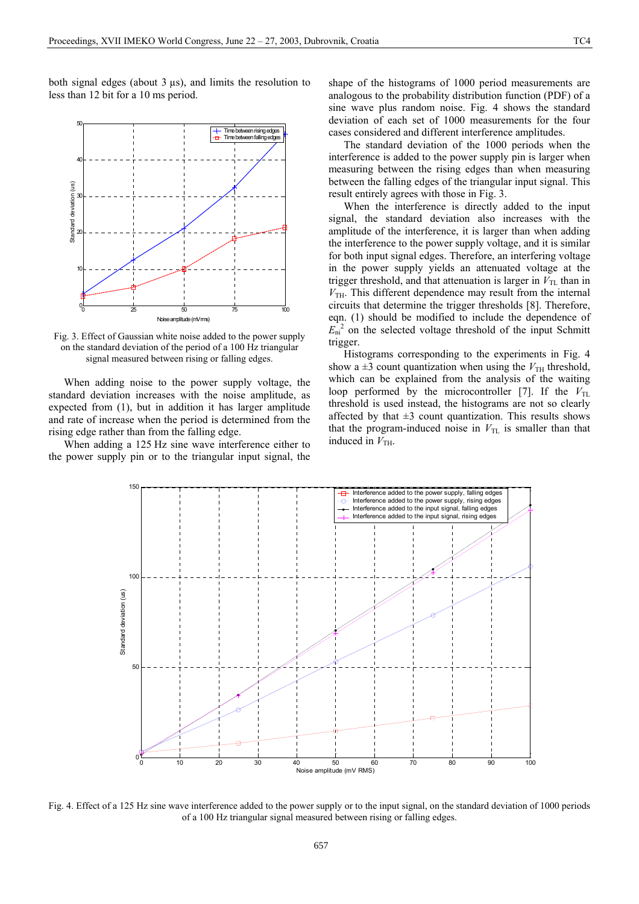both signal edges (about  $3 \mu s$ ), and limits the resolution to less than 12 bit for a 10 ms period.



Fig. 3. Effect of Gaussian white noise added to the power supply on the standard deviation of the period of a 100 Hz triangular signal measured between rising or falling edges.

When adding noise to the power supply voltage, the standard deviation increases with the noise amplitude, as expected from (1), but in addition it has larger amplitude and rate of increase when the period is determined from the rising edge rather than from the falling edge.

When adding a 125 Hz sine wave interference either to the power supply pin or to the triangular input signal, the

shape of the histograms of 1000 period measurements are analogous to the probability distribution function (PDF) of a sine wave plus random noise. Fig. 4 shows the standard deviation of each set of 1000 measurements for the four cases considered and different interference amplitudes.

The standard deviation of the 1000 periods when the interference is added to the power supply pin is larger when measuring between the rising edges than when measuring between the falling edges of the triangular input signal. This result entirely agrees with those in Fig. 3.

When the interference is directly added to the input signal, the standard deviation also increases with the amplitude of the interference, it is larger than when adding the interference to the power supply voltage, and it is similar for both input signal edges. Therefore, an interfering voltage in the power supply yields an attenuated voltage at the trigger threshold, and that attenuation is larger in  $V_{\text{TL}}$  than in  $V<sub>TH</sub>$ . This different dependence may result from the internal circuits that determine the trigger thresholds [8]. Therefore, eqn. (1) should be modified to include the dependence of  $E_{\text{ni}}^{2}$  on the selected voltage threshold of the input Schmitt trigger.

Histograms corresponding to the experiments in Fig. 4 show a  $\pm 3$  count quantization when using the  $V_{\text{TH}}$  threshold, which can be explained from the analysis of the waiting loop performed by the microcontroller [7]. If the  $V_{\text{TL}}$ threshold is used instead, the histograms are not so clearly affected by that  $\pm 3$  count quantization. This results shows that the program-induced noise in  $V_{TL}$  is smaller than that induced in  $V_{TH}$ .



Fig. 4. Effect of a 125 Hz sine wave interference added to the power supply or to the input signal, on the standard deviation of 1000 periods of a 100 Hz triangular signal measured between rising or falling edges.